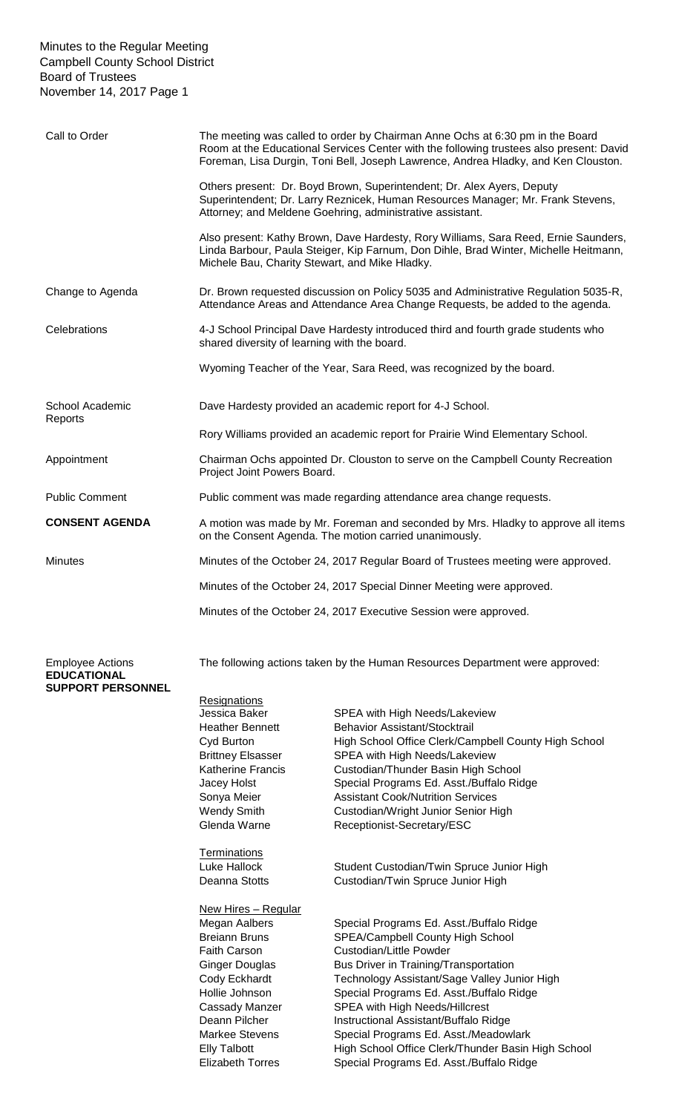## Minutes to the Regular Meeting Campbell County School District Board of Trustees November 14, 2017 Page 1

| Call to Order              | The meeting was called to order by Chairman Anne Ochs at 6:30 pm in the Board<br>Room at the Educational Services Center with the following trustees also present: David<br>Foreman, Lisa Durgin, Toni Bell, Joseph Lawrence, Andrea Hladky, and Ken Clouston. |
|----------------------------|----------------------------------------------------------------------------------------------------------------------------------------------------------------------------------------------------------------------------------------------------------------|
|                            | Others present: Dr. Boyd Brown, Superintendent; Dr. Alex Ayers, Deputy<br>Superintendent; Dr. Larry Reznicek, Human Resources Manager; Mr. Frank Stevens,<br>Attorney; and Meldene Goehring, administrative assistant.                                         |
|                            | Also present: Kathy Brown, Dave Hardesty, Rory Williams, Sara Reed, Ernie Saunders,<br>Linda Barbour, Paula Steiger, Kip Farnum, Don Dihle, Brad Winter, Michelle Heitmann,<br>Michele Bau, Charity Stewart, and Mike Hladky.                                  |
| Change to Agenda           | Dr. Brown requested discussion on Policy 5035 and Administrative Regulation 5035-R,<br>Attendance Areas and Attendance Area Change Requests, be added to the agenda.                                                                                           |
| Celebrations               | 4-J School Principal Dave Hardesty introduced third and fourth grade students who<br>shared diversity of learning with the board.                                                                                                                              |
|                            | Wyoming Teacher of the Year, Sara Reed, was recognized by the board.                                                                                                                                                                                           |
| School Academic<br>Reports | Dave Hardesty provided an academic report for 4-J School.                                                                                                                                                                                                      |
|                            | Rory Williams provided an academic report for Prairie Wind Elementary School.                                                                                                                                                                                  |
| Appointment                | Chairman Ochs appointed Dr. Clouston to serve on the Campbell County Recreation<br>Project Joint Powers Board.                                                                                                                                                 |
| <b>Public Comment</b>      | Public comment was made regarding attendance area change requests.                                                                                                                                                                                             |
| <b>CONSENT AGENDA</b>      | A motion was made by Mr. Foreman and seconded by Mrs. Hladky to approve all items<br>on the Consent Agenda. The motion carried unanimously.                                                                                                                    |
| <b>Minutes</b>             | Minutes of the October 24, 2017 Regular Board of Trustees meeting were approved.                                                                                                                                                                               |
|                            | Minutes of the October 24, 2017 Special Dinner Meeting were approved.                                                                                                                                                                                          |
|                            | Minutes of the October 24, 2017 Executive Session were approved.                                                                                                                                                                                               |

Employee Actions The following actions taken by the Human Resources Department were approved:

## **EDUCATIONAL SUPPORT PERSONNEL**

**Resignations** Jessica Baker SPEA with High Needs/Lakeview Heather Bennett Behavior Assistant/Stocktrail Cyd Burton High School Office Clerk/Campbell County High School Brittney Elsasser SPEA with High Needs/Lakeview Katherine Francis Custodian/Thunder Basin High School Jacey Holst **Special Programs Ed. Asst./Buffalo Ridge** Sonya Meier **Assistant Cook/Nutrition Services** Wendy Smith Custodian/Wright Junior Senior High Glenda Warne Receptionist-Secretary/ESC **Terminations** Luke Hallock Student Custodian/Twin Spruce Junior High Deanna Stotts **Custodian/Twin Spruce Junior High** New Hires – Regular Megan Aalbers Special Programs Ed. Asst./Buffalo Ridge<br>Breiann Bruns SPEA/Campbell County High School SPEA/Campbell County High School Faith Carson Custodian/Little Powder Ginger Douglas Bus Driver in Training/Transportation Cody Eckhardt Technology Assistant/Sage Valley Junior High Hollie Johnson Special Programs Ed. Asst./Buffalo Ridge Cassady Manzer SPEA with High Needs/Hillcrest Deann Pilcher **Instructional Assistant/Buffalo Ridge** Markee Stevens Special Programs Ed. Asst./Meadowlark Elly Talbott **High School Office Clerk/Thunder Basin High School** Elizabeth Torres Special Programs Ed. Asst./Buffalo Ridge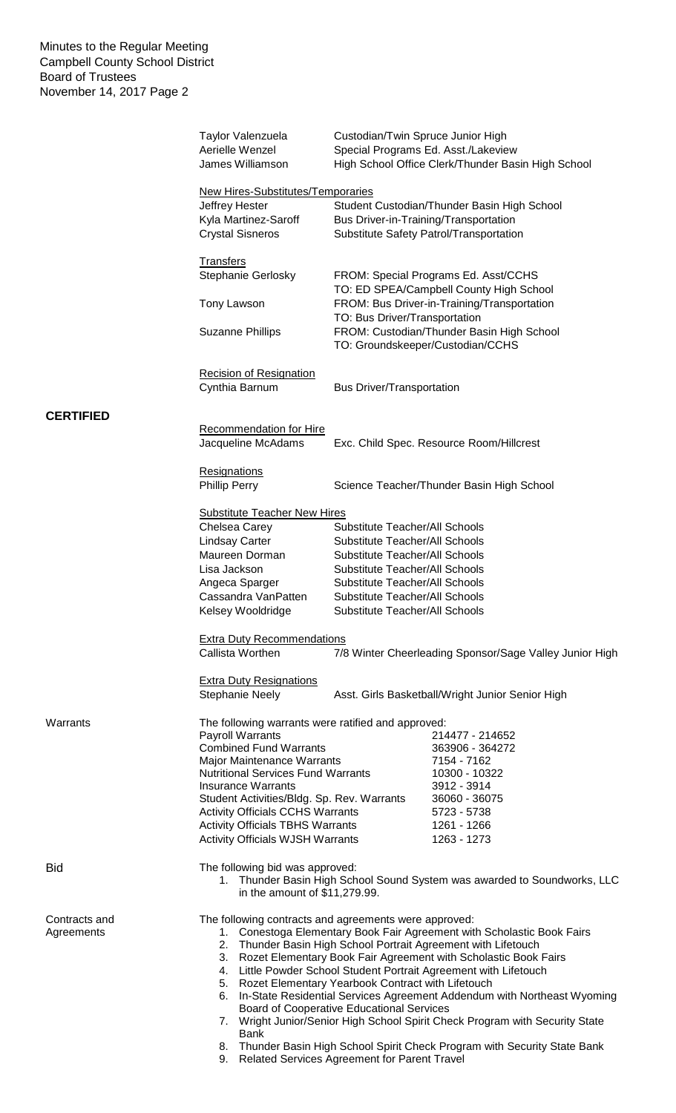|                             | Taylor Valenzuela<br>Aerielle Wenzel<br>James Williamson                                                                                                                                                                                                                                                                                                                                                                                                                                                                                                                                                                                                                                                               | Custodian/Twin Spruce Junior High                                                                                                                               | Special Programs Ed. Asst./Lakeview<br>High School Office Clerk/Thunder Basin High School |  |
|-----------------------------|------------------------------------------------------------------------------------------------------------------------------------------------------------------------------------------------------------------------------------------------------------------------------------------------------------------------------------------------------------------------------------------------------------------------------------------------------------------------------------------------------------------------------------------------------------------------------------------------------------------------------------------------------------------------------------------------------------------------|-----------------------------------------------------------------------------------------------------------------------------------------------------------------|-------------------------------------------------------------------------------------------|--|
|                             | New Hires-Substitutes/Temporaries<br>Student Custodian/Thunder Basin High School<br>Jeffrey Hester<br>Kyla Martinez-Saroff<br>Bus Driver-in-Training/Transportation<br><b>Crystal Sisneros</b><br>Substitute Safety Patrol/Transportation                                                                                                                                                                                                                                                                                                                                                                                                                                                                              |                                                                                                                                                                 |                                                                                           |  |
|                             | <b>Transfers</b><br>Stephanie Gerlosky                                                                                                                                                                                                                                                                                                                                                                                                                                                                                                                                                                                                                                                                                 | FROM: Special Programs Ed. Asst/CCHS<br>TO: ED SPEA/Campbell County High School<br>FROM: Bus Driver-in-Training/Transportation<br>TO: Bus Driver/Transportation |                                                                                           |  |
|                             | Tony Lawson                                                                                                                                                                                                                                                                                                                                                                                                                                                                                                                                                                                                                                                                                                            |                                                                                                                                                                 |                                                                                           |  |
|                             | <b>Suzanne Phillips</b>                                                                                                                                                                                                                                                                                                                                                                                                                                                                                                                                                                                                                                                                                                |                                                                                                                                                                 | FROM: Custodian/Thunder Basin High School<br>TO: Groundskeeper/Custodian/CCHS             |  |
|                             | <b>Recision of Resignation</b><br>Cynthia Barnum                                                                                                                                                                                                                                                                                                                                                                                                                                                                                                                                                                                                                                                                       | <b>Bus Driver/Transportation</b>                                                                                                                                |                                                                                           |  |
| <b>CERTIFIED</b>            |                                                                                                                                                                                                                                                                                                                                                                                                                                                                                                                                                                                                                                                                                                                        |                                                                                                                                                                 |                                                                                           |  |
|                             | <b>Recommendation for Hire</b><br>Jacqueline McAdams                                                                                                                                                                                                                                                                                                                                                                                                                                                                                                                                                                                                                                                                   |                                                                                                                                                                 | Exc. Child Spec. Resource Room/Hillcrest                                                  |  |
|                             | <b>Resignations</b>                                                                                                                                                                                                                                                                                                                                                                                                                                                                                                                                                                                                                                                                                                    |                                                                                                                                                                 |                                                                                           |  |
|                             | <b>Phillip Perry</b>                                                                                                                                                                                                                                                                                                                                                                                                                                                                                                                                                                                                                                                                                                   |                                                                                                                                                                 | Science Teacher/Thunder Basin High School                                                 |  |
|                             | <b>Substitute Teacher New Hires</b>                                                                                                                                                                                                                                                                                                                                                                                                                                                                                                                                                                                                                                                                                    |                                                                                                                                                                 |                                                                                           |  |
|                             | Chelsea Carey                                                                                                                                                                                                                                                                                                                                                                                                                                                                                                                                                                                                                                                                                                          | <b>Substitute Teacher/All Schools</b>                                                                                                                           |                                                                                           |  |
|                             | <b>Lindsay Carter</b>                                                                                                                                                                                                                                                                                                                                                                                                                                                                                                                                                                                                                                                                                                  | <b>Substitute Teacher/All Schools</b>                                                                                                                           |                                                                                           |  |
|                             | Maureen Dorman                                                                                                                                                                                                                                                                                                                                                                                                                                                                                                                                                                                                                                                                                                         | Substitute Teacher/All Schools                                                                                                                                  |                                                                                           |  |
|                             | Lisa Jackson                                                                                                                                                                                                                                                                                                                                                                                                                                                                                                                                                                                                                                                                                                           | Substitute Teacher/All Schools                                                                                                                                  |                                                                                           |  |
|                             | Angeca Sparger                                                                                                                                                                                                                                                                                                                                                                                                                                                                                                                                                                                                                                                                                                         | Substitute Teacher/All Schools                                                                                                                                  |                                                                                           |  |
|                             | Cassandra VanPatten<br>Kelsey Wooldridge                                                                                                                                                                                                                                                                                                                                                                                                                                                                                                                                                                                                                                                                               | Substitute Teacher/All Schools<br>Substitute Teacher/All Schools                                                                                                |                                                                                           |  |
|                             |                                                                                                                                                                                                                                                                                                                                                                                                                                                                                                                                                                                                                                                                                                                        |                                                                                                                                                                 |                                                                                           |  |
|                             | <b>Extra Duty Recommendations</b><br>Callista Worthen                                                                                                                                                                                                                                                                                                                                                                                                                                                                                                                                                                                                                                                                  |                                                                                                                                                                 | 7/8 Winter Cheerleading Sponsor/Sage Valley Junior High                                   |  |
|                             | <b>Extra Duty Resignations</b><br><b>Stephanie Neely</b>                                                                                                                                                                                                                                                                                                                                                                                                                                                                                                                                                                                                                                                               |                                                                                                                                                                 | Asst. Girls Basketball/Wright Junior Senior High                                          |  |
| Warrants                    | The following warrants were ratified and approved:                                                                                                                                                                                                                                                                                                                                                                                                                                                                                                                                                                                                                                                                     |                                                                                                                                                                 |                                                                                           |  |
|                             | Payroll Warrants                                                                                                                                                                                                                                                                                                                                                                                                                                                                                                                                                                                                                                                                                                       |                                                                                                                                                                 | 214477 - 214652                                                                           |  |
|                             | <b>Combined Fund Warrants</b>                                                                                                                                                                                                                                                                                                                                                                                                                                                                                                                                                                                                                                                                                          |                                                                                                                                                                 | 363906 - 364272                                                                           |  |
|                             | Major Maintenance Warrants                                                                                                                                                                                                                                                                                                                                                                                                                                                                                                                                                                                                                                                                                             |                                                                                                                                                                 | 7154 - 7162                                                                               |  |
|                             | <b>Nutritional Services Fund Warrants</b><br><b>Insurance Warrants</b>                                                                                                                                                                                                                                                                                                                                                                                                                                                                                                                                                                                                                                                 |                                                                                                                                                                 | 10300 - 10322<br>3912 - 3914                                                              |  |
|                             | Student Activities/Bldg. Sp. Rev. Warrants                                                                                                                                                                                                                                                                                                                                                                                                                                                                                                                                                                                                                                                                             |                                                                                                                                                                 | 36060 - 36075                                                                             |  |
|                             | <b>Activity Officials CCHS Warrants</b>                                                                                                                                                                                                                                                                                                                                                                                                                                                                                                                                                                                                                                                                                |                                                                                                                                                                 | 5723 - 5738                                                                               |  |
|                             | <b>Activity Officials TBHS Warrants</b>                                                                                                                                                                                                                                                                                                                                                                                                                                                                                                                                                                                                                                                                                |                                                                                                                                                                 | 1261 - 1266                                                                               |  |
|                             | <b>Activity Officials WJSH Warrants</b>                                                                                                                                                                                                                                                                                                                                                                                                                                                                                                                                                                                                                                                                                |                                                                                                                                                                 | 1263 - 1273                                                                               |  |
| <b>Bid</b>                  | The following bid was approved:<br>1. Thunder Basin High School Sound System was awarded to Soundworks, LLC<br>in the amount of \$11,279.99.                                                                                                                                                                                                                                                                                                                                                                                                                                                                                                                                                                           |                                                                                                                                                                 |                                                                                           |  |
| Contracts and<br>Agreements | The following contracts and agreements were approved:<br>1. Conestoga Elementary Book Fair Agreement with Scholastic Book Fairs<br>2. Thunder Basin High School Portrait Agreement with Lifetouch<br>3. Rozet Elementary Book Fair Agreement with Scholastic Book Fairs<br>4. Little Powder School Student Portrait Agreement with Lifetouch<br>5. Rozet Elementary Yearbook Contract with Lifetouch<br>In-State Residential Services Agreement Addendum with Northeast Wyoming<br>6.<br><b>Board of Cooperative Educational Services</b><br>7. Wright Junior/Senior High School Spirit Check Program with Security State<br><b>Bank</b><br>8. Thunder Basin High School Spirit Check Program with Security State Bank |                                                                                                                                                                 |                                                                                           |  |
|                             | 9. Related Services Agreement for Parent Travel                                                                                                                                                                                                                                                                                                                                                                                                                                                                                                                                                                                                                                                                        |                                                                                                                                                                 |                                                                                           |  |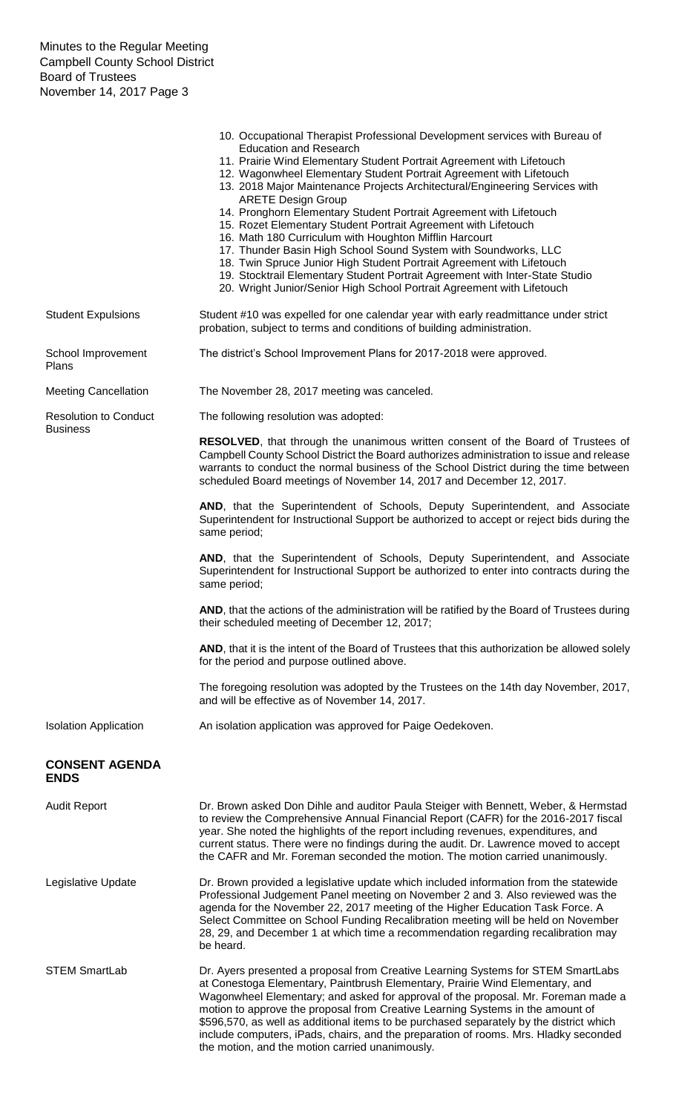|                                                 | 10. Occupational Therapist Professional Development services with Bureau of<br><b>Education and Research</b><br>11. Prairie Wind Elementary Student Portrait Agreement with Lifetouch<br>12. Wagonwheel Elementary Student Portrait Agreement with Lifetouch<br>13. 2018 Major Maintenance Projects Architectural/Engineering Services with<br><b>ARETE Design Group</b><br>14. Pronghorn Elementary Student Portrait Agreement with Lifetouch<br>15. Rozet Elementary Student Portrait Agreement with Lifetouch<br>16. Math 180 Curriculum with Houghton Mifflin Harcourt<br>17. Thunder Basin High School Sound System with Soundworks, LLC<br>18. Twin Spruce Junior High Student Portrait Agreement with Lifetouch<br>19. Stocktrail Elementary Student Portrait Agreement with Inter-State Studio<br>20. Wright Junior/Senior High School Portrait Agreement with Lifetouch |  |
|-------------------------------------------------|----------------------------------------------------------------------------------------------------------------------------------------------------------------------------------------------------------------------------------------------------------------------------------------------------------------------------------------------------------------------------------------------------------------------------------------------------------------------------------------------------------------------------------------------------------------------------------------------------------------------------------------------------------------------------------------------------------------------------------------------------------------------------------------------------------------------------------------------------------------------------------|--|
| <b>Student Expulsions</b>                       | Student #10 was expelled for one calendar year with early readmittance under strict<br>probation, subject to terms and conditions of building administration.                                                                                                                                                                                                                                                                                                                                                                                                                                                                                                                                                                                                                                                                                                                    |  |
| School Improvement<br>Plans                     | The district's School Improvement Plans for 2017-2018 were approved.                                                                                                                                                                                                                                                                                                                                                                                                                                                                                                                                                                                                                                                                                                                                                                                                             |  |
| <b>Meeting Cancellation</b>                     | The November 28, 2017 meeting was canceled.                                                                                                                                                                                                                                                                                                                                                                                                                                                                                                                                                                                                                                                                                                                                                                                                                                      |  |
| <b>Resolution to Conduct</b><br><b>Business</b> | The following resolution was adopted:                                                                                                                                                                                                                                                                                                                                                                                                                                                                                                                                                                                                                                                                                                                                                                                                                                            |  |
|                                                 | RESOLVED, that through the unanimous written consent of the Board of Trustees of<br>Campbell County School District the Board authorizes administration to issue and release<br>warrants to conduct the normal business of the School District during the time between<br>scheduled Board meetings of November 14, 2017 and December 12, 2017.                                                                                                                                                                                                                                                                                                                                                                                                                                                                                                                                   |  |
|                                                 | AND, that the Superintendent of Schools, Deputy Superintendent, and Associate<br>Superintendent for Instructional Support be authorized to accept or reject bids during the<br>same period;                                                                                                                                                                                                                                                                                                                                                                                                                                                                                                                                                                                                                                                                                      |  |
|                                                 | AND, that the Superintendent of Schools, Deputy Superintendent, and Associate<br>Superintendent for Instructional Support be authorized to enter into contracts during the<br>same period;                                                                                                                                                                                                                                                                                                                                                                                                                                                                                                                                                                                                                                                                                       |  |
|                                                 | AND, that the actions of the administration will be ratified by the Board of Trustees during<br>their scheduled meeting of December 12, 2017;                                                                                                                                                                                                                                                                                                                                                                                                                                                                                                                                                                                                                                                                                                                                    |  |
|                                                 | AND, that it is the intent of the Board of Trustees that this authorization be allowed solely<br>for the period and purpose outlined above.                                                                                                                                                                                                                                                                                                                                                                                                                                                                                                                                                                                                                                                                                                                                      |  |
|                                                 | The foregoing resolution was adopted by the Trustees on the 14th day November, 2017,<br>and will be effective as of November 14, 2017.                                                                                                                                                                                                                                                                                                                                                                                                                                                                                                                                                                                                                                                                                                                                           |  |
| <b>Isolation Application</b>                    | An isolation application was approved for Paige Oedekoven.                                                                                                                                                                                                                                                                                                                                                                                                                                                                                                                                                                                                                                                                                                                                                                                                                       |  |
| <b>CONSENT AGENDA</b><br><b>ENDS</b>            |                                                                                                                                                                                                                                                                                                                                                                                                                                                                                                                                                                                                                                                                                                                                                                                                                                                                                  |  |
| <b>Audit Report</b>                             | Dr. Brown asked Don Dihle and auditor Paula Steiger with Bennett, Weber, & Hermstad<br>to review the Comprehensive Annual Financial Report (CAFR) for the 2016-2017 fiscal<br>year. She noted the highlights of the report including revenues, expenditures, and<br>current status. There were no findings during the audit. Dr. Lawrence moved to accept<br>the CAFR and Mr. Foreman seconded the motion. The motion carried unanimously.                                                                                                                                                                                                                                                                                                                                                                                                                                       |  |
| Legislative Update                              | Dr. Brown provided a legislative update which included information from the statewide<br>Professional Judgement Panel meeting on November 2 and 3. Also reviewed was the<br>agenda for the November 22, 2017 meeting of the Higher Education Task Force. A<br>Select Committee on School Funding Recalibration meeting will be held on November<br>28, 29, and December 1 at which time a recommendation regarding recalibration may<br>be heard.                                                                                                                                                                                                                                                                                                                                                                                                                                |  |
| <b>STEM SmartLab</b>                            | Dr. Ayers presented a proposal from Creative Learning Systems for STEM SmartLabs<br>at Conestoga Elementary, Paintbrush Elementary, Prairie Wind Elementary, and<br>Wagonwheel Elementary; and asked for approval of the proposal. Mr. Foreman made a<br>motion to approve the proposal from Creative Learning Systems in the amount of<br>\$596,570, as well as additional items to be purchased separately by the district which<br>include computers, iPads, chairs, and the preparation of rooms. Mrs. Hladky seconded<br>the motion, and the motion carried unanimously.                                                                                                                                                                                                                                                                                                    |  |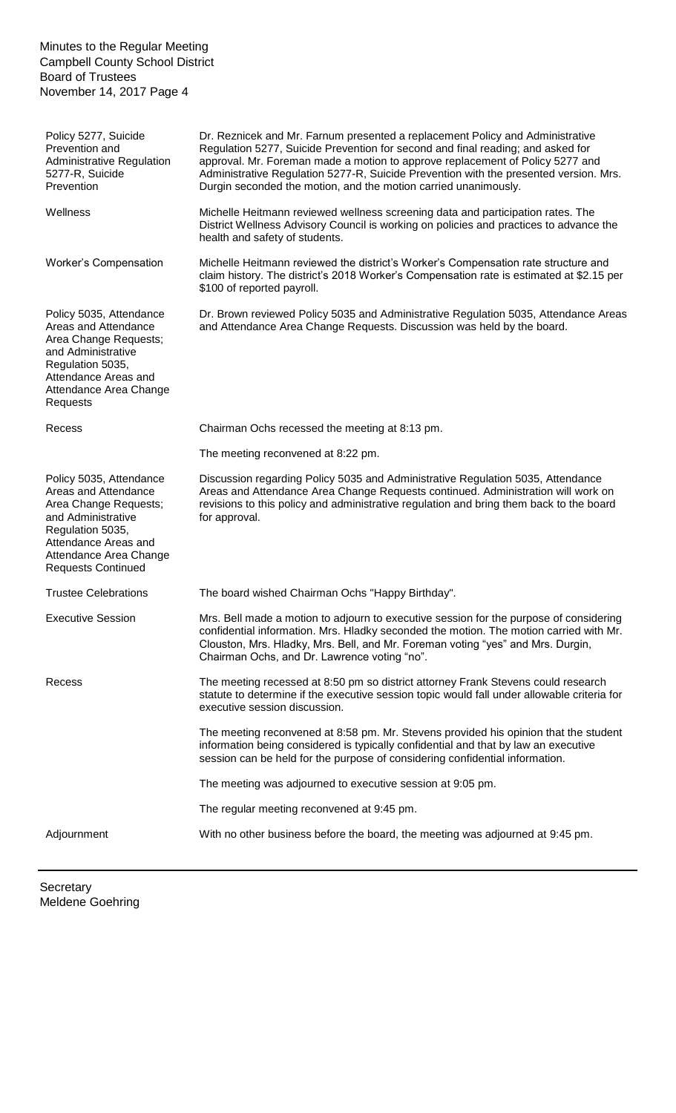Minutes to the Regular Meeting Campbell County School District Board of Trustees November 14, 2017 Page 4

Policy 5277, Suicide Prevention and Administrative Regulation 5277-R, Suicide Prevention Dr. Reznicek and Mr. Farnum presented a replacement Policy and Administrative Regulation 5277, Suicide Prevention for second and final reading; and asked for approval. Mr. Foreman made a motion to approve replacement of Policy 5277 and Administrative Regulation 5277-R, Suicide Prevention with the presented version. Mrs. Durgin seconded the motion, and the motion carried unanimously. Wellness Michelle Heitmann reviewed wellness screening data and participation rates. The District Wellness Advisory Council is working on policies and practices to advance the health and safety of students. Worker's Compensation Michelle Heitmann reviewed the district's Worker's Compensation rate structure and claim history. The district's 2018 Worker's Compensation rate is estimated at \$2.15 per \$100 of reported payroll. Policy 5035, Attendance Areas and Attendance Area Change Requests; and Administrative Regulation 5035, Attendance Areas and Attendance Area Change Requests Dr. Brown reviewed Policy 5035 and Administrative Regulation 5035, Attendance Areas and Attendance Area Change Requests. Discussion was held by the board. Recess Chairman Ochs recessed the meeting at 8:13 pm. The meeting reconvened at 8:22 pm. Policy 5035, Attendance Areas and Attendance Area Change Requests; and Administrative Regulation 5035, Attendance Areas and Attendance Area Change Requests Continued Discussion regarding Policy 5035 and Administrative Regulation 5035, Attendance Areas and Attendance Area Change Requests continued. Administration will work on revisions to this policy and administrative regulation and bring them back to the board for approval. Trustee Celebrations The board wished Chairman Ochs "Happy Birthday". Executive Session Mrs. Bell made a motion to adjourn to executive session for the purpose of considering confidential information. Mrs. Hladky seconded the motion. The motion carried with Mr. Clouston, Mrs. Hladky, Mrs. Bell, and Mr. Foreman voting "yes" and Mrs. Durgin, Chairman Ochs, and Dr. Lawrence voting "no". Recess The meeting recessed at 8:50 pm so district attorney Frank Stevens could research statute to determine if the executive session topic would fall under allowable criteria for executive session discussion. The meeting reconvened at 8:58 pm. Mr. Stevens provided his opinion that the student information being considered is typically confidential and that by law an executive session can be held for the purpose of considering confidential information. The meeting was adjourned to executive session at 9:05 pm. The regular meeting reconvened at 9:45 pm. Adjournment With no other business before the board, the meeting was adjourned at 9:45 pm.

**Secretary** Meldene Goehring